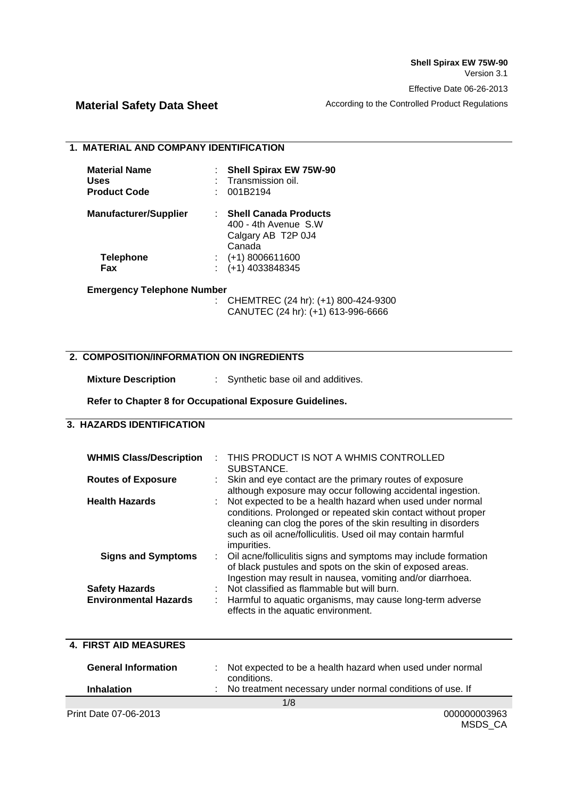MSDS\_CA

# **Material Safety Data Sheet** According to the Controlled Product Regulations

#### **1. MATERIAL AND COMPANY IDENTIFICATION**

| <b>Material Name</b><br>Uses<br><b>Product Code</b> | <b>Shell Spirax EW 75W-90</b><br>Transmission oil.<br>001B2194                       |
|-----------------------------------------------------|--------------------------------------------------------------------------------------|
| <b>Manufacturer/Supplier</b>                        | <b>Shell Canada Products</b><br>400 - 4th Avenue S.W<br>Calgary AB T2P 0J4<br>Canada |
| <b>Telephone</b><br>Fax                             | $(+1)$ 8006611600<br>$( +1)$ 4033848345                                              |

#### **Emergency Telephone Number**

: CHEMTREC (24 hr): (+1) 800-424-9300 CANUTEC (24 hr): (+1) 613-996-6666

## **2. COMPOSITION/INFORMATION ON INGREDIENTS**

**Mixture Description** : Synthetic base oil and additives.

**Refer to Chapter 8 for Occupational Exposure Guidelines.** 

# **3. HAZARDS IDENTIFICATION**

| <b>WHMIS Class/Description</b>                             | THIS PRODUCT IS NOT A WHMIS CONTROLLED<br>SUBSTANCE.                                                                                                                                                                                                                         |
|------------------------------------------------------------|------------------------------------------------------------------------------------------------------------------------------------------------------------------------------------------------------------------------------------------------------------------------------|
| <b>Routes of Exposure</b>                                  | : Skin and eye contact are the primary routes of exposure<br>although exposure may occur following accidental ingestion.                                                                                                                                                     |
| <b>Health Hazards</b>                                      | : Not expected to be a health hazard when used under normal<br>conditions. Prolonged or repeated skin contact without proper<br>cleaning can clog the pores of the skin resulting in disorders<br>such as oil acne/folliculitis. Used oil may contain harmful<br>impurities. |
| <b>Signs and Symptoms</b>                                  | : Oil acne/folliculitis signs and symptoms may include formation<br>of black pustules and spots on the skin of exposed areas.<br>Ingestion may result in nausea, vomiting and/or diarrhoea.                                                                                  |
| <b>Safety Hazards</b><br><b>Environmental Hazards</b><br>÷ | Not classified as flammable but will burn.<br>Harmful to aquatic organisms, may cause long-term adverse<br>effects in the aquatic environment.                                                                                                                               |

#### **4. FIRST AID MEASURES**

| <b>General Information</b>   | : Not expected to be a health hazard when used under normal<br>conditions. |  |
|------------------------------|----------------------------------------------------------------------------|--|
| <b>Inhalation</b>            | : No treatment necessary under normal conditions of use. If                |  |
|                              | 1/8                                                                        |  |
| <b>Print Date 07-06-2013</b> | 000000003963                                                               |  |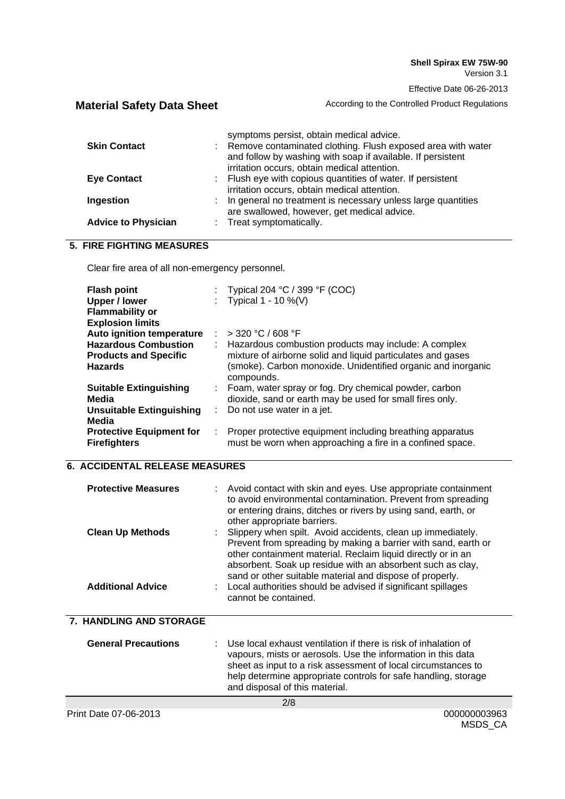**Material Safety Data Sheet** According to the Controlled Product Regulations

| <b>Skin Contact</b>        | symptoms persist, obtain medical advice.<br>: Remove contaminated clothing. Flush exposed area with water<br>and follow by washing with soap if available. If persistent<br>irritation occurs, obtain medical attention. |
|----------------------------|--------------------------------------------------------------------------------------------------------------------------------------------------------------------------------------------------------------------------|
| <b>Eye Contact</b>         | : Flush eye with copious quantities of water. If persistent<br>irritation occurs, obtain medical attention.                                                                                                              |
| Ingestion                  | : In general no treatment is necessary unless large quantities<br>are swallowed, however, get medical advice.                                                                                                            |
| <b>Advice to Physician</b> | : Treat symptomatically.                                                                                                                                                                                                 |

# **5. FIRE FIGHTING MEASURES**

Clear fire area of all non-emergency personnel.

| <b>Flash point</b><br><b>Upper / lower</b><br><b>Flammability or</b><br><b>Explosion limits</b> |    | : Typical 204 °C / 399 °F (COC)<br>: Typical $1 - 10 \%$ (V)                                                                                                                                      |
|-------------------------------------------------------------------------------------------------|----|---------------------------------------------------------------------------------------------------------------------------------------------------------------------------------------------------|
| Auto ignition temperature                                                                       |    | $>$ 320 °C / 608 °F                                                                                                                                                                               |
| <b>Hazardous Combustion</b><br><b>Products and Specific</b><br><b>Hazards</b>                   | ÷. | Hazardous combustion products may include: A complex<br>mixture of airborne solid and liquid particulates and gases<br>(smoke). Carbon monoxide. Unidentified organic and inorganic<br>compounds. |
| <b>Suitable Extinguishing</b>                                                                   |    | : Foam, water spray or fog. Dry chemical powder, carbon                                                                                                                                           |
| Media                                                                                           |    | dioxide, sand or earth may be used for small fires only.                                                                                                                                          |
| Unsuitable Extinguishing<br>Media                                                               |    | $\therefore$ Do not use water in a jet.                                                                                                                                                           |
| <b>Protective Equipment for</b><br><b>Firefighters</b>                                          | ÷. | Proper protective equipment including breathing apparatus<br>must be worn when approaching a fire in a confined space.                                                                            |

# **6. ACCIDENTAL RELEASE MEASURES**

| <b>Protective Measures</b><br><b>Clean Up Methods</b><br><b>Additional Advice</b> | : Avoid contact with skin and eyes. Use appropriate containment<br>to avoid environmental contamination. Prevent from spreading<br>or entering drains, ditches or rivers by using sand, earth, or<br>other appropriate barriers.<br>: Slippery when spilt. Avoid accidents, clean up immediately.<br>Prevent from spreading by making a barrier with sand, earth or<br>other containment material. Reclaim liquid directly or in an<br>absorbent. Soak up residue with an absorbent such as clay,<br>sand or other suitable material and dispose of properly.<br>Local authorities should be advised if significant spillages<br>cannot be contained. |
|-----------------------------------------------------------------------------------|-------------------------------------------------------------------------------------------------------------------------------------------------------------------------------------------------------------------------------------------------------------------------------------------------------------------------------------------------------------------------------------------------------------------------------------------------------------------------------------------------------------------------------------------------------------------------------------------------------------------------------------------------------|
| <b>7. HANDLING AND STORAGE</b>                                                    |                                                                                                                                                                                                                                                                                                                                                                                                                                                                                                                                                                                                                                                       |
| <b>General Precautions</b>                                                        | Use local exhaust ventilation if there is risk of inhalation of<br>vapours, mists or aerosols. Use the information in this data<br>sheet as input to a risk assessment of local circumstances to<br>help determine appropriate controls for safe handling, storage<br>and disposal of this material.                                                                                                                                                                                                                                                                                                                                                  |
|                                                                                   | 2/8                                                                                                                                                                                                                                                                                                                                                                                                                                                                                                                                                                                                                                                   |
| Print Date 07-06-2013                                                             | 000000003963                                                                                                                                                                                                                                                                                                                                                                                                                                                                                                                                                                                                                                          |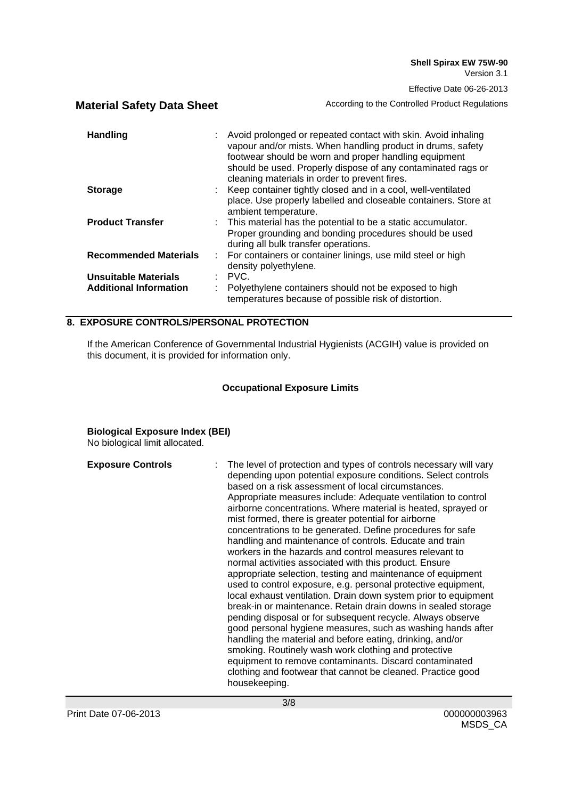**Material Safety Data Sheet** According to the Controlled Product Regulations

| <b>Handling</b>                                       | Avoid prolonged or repeated contact with skin. Avoid inhaling<br>vapour and/or mists. When handling product in drums, safety<br>footwear should be worn and proper handling equipment<br>should be used. Properly dispose of any contaminated rags or<br>cleaning materials in order to prevent fires. |
|-------------------------------------------------------|--------------------------------------------------------------------------------------------------------------------------------------------------------------------------------------------------------------------------------------------------------------------------------------------------------|
| <b>Storage</b>                                        | : Keep container tightly closed and in a cool, well-ventilated<br>place. Use properly labelled and closeable containers. Store at<br>ambient temperature.                                                                                                                                              |
| <b>Product Transfer</b>                               | : This material has the potential to be a static accumulator.<br>Proper grounding and bonding procedures should be used<br>during all bulk transfer operations.                                                                                                                                        |
| <b>Recommended Materials</b>                          | : For containers or container linings, use mild steel or high<br>density polyethylene.                                                                                                                                                                                                                 |
| Unsuitable Materials<br><b>Additional Information</b> | $\therefore$ PVC.<br>Polyethylene containers should not be exposed to high<br>temperatures because of possible risk of distortion.                                                                                                                                                                     |

### **8. EXPOSURE CONTROLS/PERSONAL PROTECTION**

If the American Conference of Governmental Industrial Hygienists (ACGIH) value is provided on this document, it is provided for information only.

### **Occupational Exposure Limits**

### **Biological Exposure Index (BEI)**

No biological limit allocated.

| <b>Exposure Controls</b> | The level of protection and types of controls necessary will vary<br>depending upon potential exposure conditions. Select controls<br>based on a risk assessment of local circumstances.<br>Appropriate measures include: Adequate ventilation to control<br>airborne concentrations. Where material is heated, sprayed or<br>mist formed, there is greater potential for airborne<br>concentrations to be generated. Define procedures for safe<br>handling and maintenance of controls. Educate and train<br>workers in the hazards and control measures relevant to<br>normal activities associated with this product. Ensure<br>appropriate selection, testing and maintenance of equipment<br>used to control exposure, e.g. personal protective equipment,<br>local exhaust ventilation. Drain down system prior to equipment<br>break-in or maintenance. Retain drain downs in sealed storage<br>pending disposal or for subsequent recycle. Always observe<br>good personal hygiene measures, such as washing hands after<br>handling the material and before eating, drinking, and/or<br>smoking. Routinely wash work clothing and protective<br>equipment to remove contaminants. Discard contaminated |
|--------------------------|------------------------------------------------------------------------------------------------------------------------------------------------------------------------------------------------------------------------------------------------------------------------------------------------------------------------------------------------------------------------------------------------------------------------------------------------------------------------------------------------------------------------------------------------------------------------------------------------------------------------------------------------------------------------------------------------------------------------------------------------------------------------------------------------------------------------------------------------------------------------------------------------------------------------------------------------------------------------------------------------------------------------------------------------------------------------------------------------------------------------------------------------------------------------------------------------------------------|
|                          | clothing and footwear that cannot be cleaned. Practice good<br>housekeeping.                                                                                                                                                                                                                                                                                                                                                                                                                                                                                                                                                                                                                                                                                                                                                                                                                                                                                                                                                                                                                                                                                                                                     |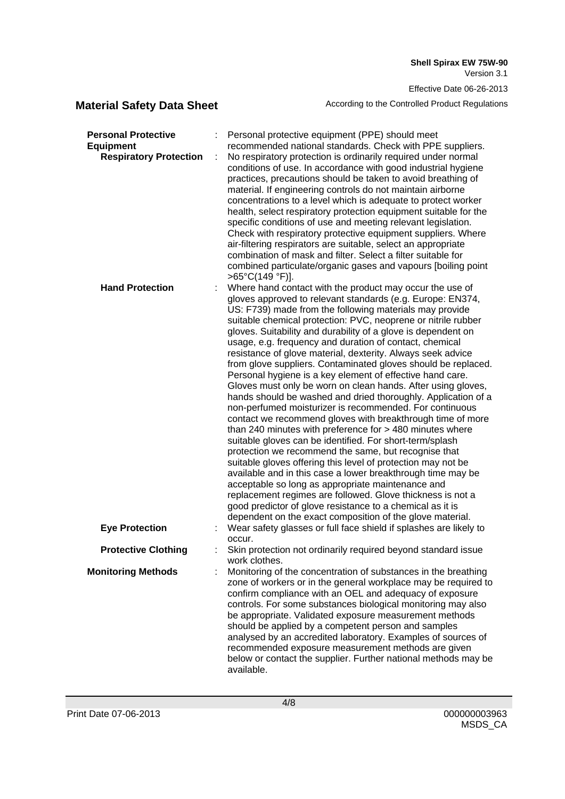**Shell Spirax EW 75W-90** Version 3.1

Effective Date 06-26-2013

**Material Safety Data Sheet** According to the Controlled Product Regulations

| <b>Personal Protective</b><br><b>Equipment</b><br><b>Respiratory Protection</b> | Personal protective equipment (PPE) should meet<br>recommended national standards. Check with PPE suppliers.<br>No respiratory protection is ordinarily required under normal<br>conditions of use. In accordance with good industrial hygiene<br>practices, precautions should be taken to avoid breathing of<br>material. If engineering controls do not maintain airborne<br>concentrations to a level which is adequate to protect worker<br>health, select respiratory protection equipment suitable for the<br>specific conditions of use and meeting relevant legislation.<br>Check with respiratory protective equipment suppliers. Where<br>air-filtering respirators are suitable, select an appropriate<br>combination of mask and filter. Select a filter suitable for<br>combined particulate/organic gases and vapours [boiling point                                                                                                                                                                                                                                                                                                                                                                                                                                                                                                       |
|---------------------------------------------------------------------------------|-----------------------------------------------------------------------------------------------------------------------------------------------------------------------------------------------------------------------------------------------------------------------------------------------------------------------------------------------------------------------------------------------------------------------------------------------------------------------------------------------------------------------------------------------------------------------------------------------------------------------------------------------------------------------------------------------------------------------------------------------------------------------------------------------------------------------------------------------------------------------------------------------------------------------------------------------------------------------------------------------------------------------------------------------------------------------------------------------------------------------------------------------------------------------------------------------------------------------------------------------------------------------------------------------------------------------------------------------------------|
| <b>Hand Protection</b>                                                          | >65°C(149 °F)].<br>Where hand contact with the product may occur the use of<br>gloves approved to relevant standards (e.g. Europe: EN374,<br>US: F739) made from the following materials may provide<br>suitable chemical protection: PVC, neoprene or nitrile rubber<br>gloves. Suitability and durability of a glove is dependent on<br>usage, e.g. frequency and duration of contact, chemical<br>resistance of glove material, dexterity. Always seek advice<br>from glove suppliers. Contaminated gloves should be replaced.<br>Personal hygiene is a key element of effective hand care.<br>Gloves must only be worn on clean hands. After using gloves,<br>hands should be washed and dried thoroughly. Application of a<br>non-perfumed moisturizer is recommended. For continuous<br>contact we recommend gloves with breakthrough time of more<br>than 240 minutes with preference for $>$ 480 minutes where<br>suitable gloves can be identified. For short-term/splash<br>protection we recommend the same, but recognise that<br>suitable gloves offering this level of protection may not be<br>available and in this case a lower breakthrough time may be<br>acceptable so long as appropriate maintenance and<br>replacement regimes are followed. Glove thickness is not a<br>good predictor of glove resistance to a chemical as it is |
| <b>Eye Protection</b>                                                           | dependent on the exact composition of the glove material.<br>Wear safety glasses or full face shield if splashes are likely to                                                                                                                                                                                                                                                                                                                                                                                                                                                                                                                                                                                                                                                                                                                                                                                                                                                                                                                                                                                                                                                                                                                                                                                                                            |
| <b>Protective Clothing</b>                                                      | occur.<br>Skin protection not ordinarily required beyond standard issue<br>work clothes.                                                                                                                                                                                                                                                                                                                                                                                                                                                                                                                                                                                                                                                                                                                                                                                                                                                                                                                                                                                                                                                                                                                                                                                                                                                                  |
| <b>Monitoring Methods</b>                                                       | Monitoring of the concentration of substances in the breathing<br>zone of workers or in the general workplace may be required to<br>confirm compliance with an OEL and adequacy of exposure<br>controls. For some substances biological monitoring may also<br>be appropriate. Validated exposure measurement methods<br>should be applied by a competent person and samples<br>analysed by an accredited laboratory. Examples of sources of<br>recommended exposure measurement methods are given<br>below or contact the supplier. Further national methods may be<br>available.                                                                                                                                                                                                                                                                                                                                                                                                                                                                                                                                                                                                                                                                                                                                                                        |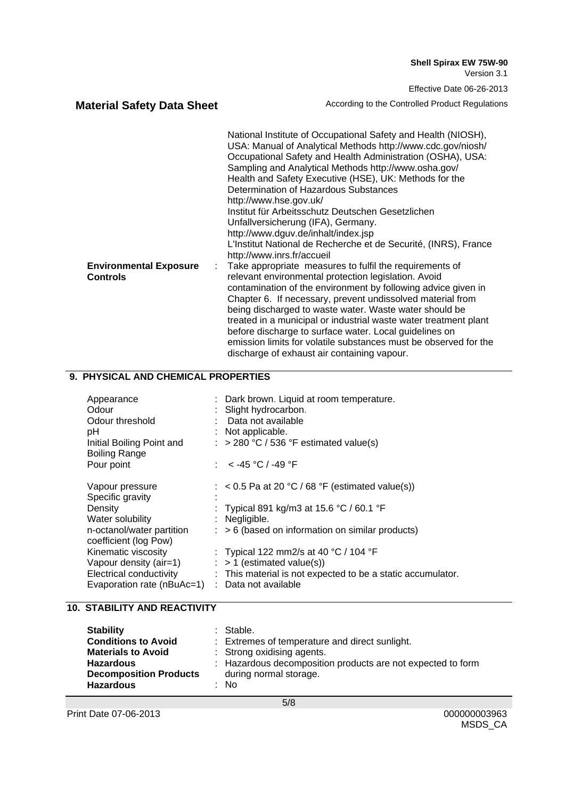**Material Safety Data Sheet** According to the Controlled Product Regulations

|                               | National Institute of Occupational Safety and Health (NIOSH),<br>USA: Manual of Analytical Methods http://www.cdc.gov/niosh/<br>Occupational Safety and Health Administration (OSHA), USA:<br>Sampling and Analytical Methods http://www.osha.gov/<br>Health and Safety Executive (HSE), UK: Methods for the<br>Determination of Hazardous Substances |
|-------------------------------|-------------------------------------------------------------------------------------------------------------------------------------------------------------------------------------------------------------------------------------------------------------------------------------------------------------------------------------------------------|
|                               | http://www.hse.gov.uk/                                                                                                                                                                                                                                                                                                                                |
|                               | Institut für Arbeitsschutz Deutschen Gesetzlichen                                                                                                                                                                                                                                                                                                     |
|                               | Unfallversicherung (IFA), Germany.                                                                                                                                                                                                                                                                                                                    |
|                               | http://www.dguv.de/inhalt/index.jsp                                                                                                                                                                                                                                                                                                                   |
|                               | L'Institut National de Recherche et de Securité, (INRS), France<br>http://www.inrs.fr/accueil                                                                                                                                                                                                                                                         |
| <b>Environmental Exposure</b> | Take appropriate measures to fulfil the requirements of                                                                                                                                                                                                                                                                                               |
| <b>Controls</b>               | relevant environmental protection legislation. Avoid                                                                                                                                                                                                                                                                                                  |
|                               | contamination of the environment by following advice given in                                                                                                                                                                                                                                                                                         |
|                               | Chapter 6. If necessary, prevent undissolved material from                                                                                                                                                                                                                                                                                            |
|                               | being discharged to waste water. Waste water should be                                                                                                                                                                                                                                                                                                |
|                               | treated in a municipal or industrial waste water treatment plant                                                                                                                                                                                                                                                                                      |
|                               | before discharge to surface water. Local guidelines on                                                                                                                                                                                                                                                                                                |
|                               | emission limits for volatile substances must be observed for the                                                                                                                                                                                                                                                                                      |
|                               | discharge of exhaust air containing vapour.                                                                                                                                                                                                                                                                                                           |

### **9. PHYSICAL AND CHEMICAL PROPERTIES**

| Appearance<br>Odour<br>Odour threshold<br>рH<br>Initial Boiling Point and |    | : Dark brown. Liquid at room temperature.<br>Slight hydrocarbon.<br>Data not available<br>: Not applicable.<br>: > 280 °C / 536 °F estimated value(s) |
|---------------------------------------------------------------------------|----|-------------------------------------------------------------------------------------------------------------------------------------------------------|
| <b>Boiling Range</b>                                                      |    |                                                                                                                                                       |
| Pour point                                                                |    | : < -45 °C / -49 °F                                                                                                                                   |
|                                                                           |    |                                                                                                                                                       |
| Vapour pressure                                                           |    | : $< 0.5$ Pa at 20 °C / 68 °F (estimated value(s))                                                                                                    |
| Specific gravity                                                          |    |                                                                                                                                                       |
| Density                                                                   |    | : Typical 891 kg/m3 at 15.6 °C / 60.1 °F                                                                                                              |
| Water solubility                                                          |    | : Negligible.                                                                                                                                         |
| n-octanol/water partition                                                 | t. | > 6 (based on information on similar products)                                                                                                        |
| coefficient (log Pow)                                                     |    |                                                                                                                                                       |
| Kinematic viscosity                                                       |    | : Typical 122 mm2/s at 40 °C / 104 °F                                                                                                                 |
| Vapour density (air=1)                                                    |    | $\therefore$ > 1 (estimated value(s))                                                                                                                 |
| Electrical conductivity                                                   |    | : This material is not expected to be a static accumulator.                                                                                           |
| Evaporation rate (nBuAc=1)                                                |    | : Data not available                                                                                                                                  |

# **10. STABILITY AND REACTIVITY**

| <b>Stability</b>              | $:$ Stable.                                                 |
|-------------------------------|-------------------------------------------------------------|
| <b>Conditions to Avoid</b>    | : Extremes of temperature and direct sunlight.              |
| <b>Materials to Avoid</b>     | : Strong oxidising agents.                                  |
| <b>Hazardous</b>              | : Hazardous decomposition products are not expected to form |
| <b>Decomposition Products</b> | during normal storage.                                      |
| <b>Hazardous</b>              | $:$ No                                                      |
|                               |                                                             |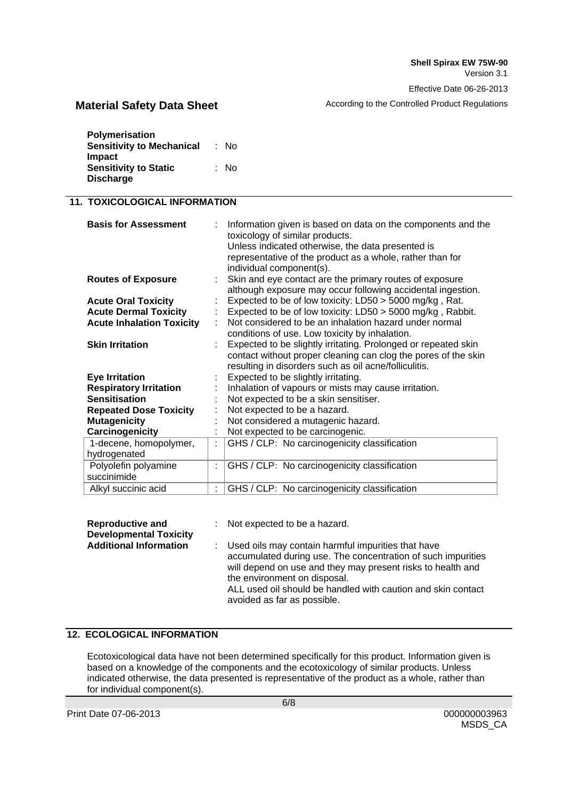**Material Safety Data Sheet** According to the Controlled Product Regulations

| Polymerisation                   |      |
|----------------------------------|------|
| <b>Sensitivity to Mechanical</b> | : No |
| Impact                           |      |
| <b>Sensitivity to Static</b>     | : No |
| <b>Discharge</b>                 |      |

# **11. TOXICOLOGICAL INFORMATION**

| <b>Basis for Assessment</b>         | Information given is based on data on the components and the<br>toxicology of similar products.<br>Unless indicated otherwise, the data presented is<br>representative of the product as a whole, rather than for<br>individual component(s). |
|-------------------------------------|-----------------------------------------------------------------------------------------------------------------------------------------------------------------------------------------------------------------------------------------------|
| <b>Routes of Exposure</b>           | Skin and eye contact are the primary routes of exposure<br>although exposure may occur following accidental ingestion.                                                                                                                        |
| <b>Acute Oral Toxicity</b>          | Expected to be of low toxicity: LD50 > 5000 mg/kg, Rat.                                                                                                                                                                                       |
| <b>Acute Dermal Toxicity</b>        | Expected to be of low toxicity: LD50 > 5000 mg/kg, Rabbit.                                                                                                                                                                                    |
| <b>Acute Inhalation Toxicity</b>    | Not considered to be an inhalation hazard under normal<br>conditions of use. Low toxicity by inhalation.                                                                                                                                      |
| <b>Skin Irritation</b>              | Expected to be slightly irritating. Prolonged or repeated skin<br>contact without proper cleaning can clog the pores of the skin<br>resulting in disorders such as oil acne/folliculitis.                                                     |
| <b>Eye Irritation</b>               | Expected to be slightly irritating.                                                                                                                                                                                                           |
| <b>Respiratory Irritation</b>       | Inhalation of vapours or mists may cause irritation.                                                                                                                                                                                          |
| <b>Sensitisation</b>                | Not expected to be a skin sensitiser.                                                                                                                                                                                                         |
| <b>Repeated Dose Toxicity</b>       | Not expected to be a hazard.                                                                                                                                                                                                                  |
| <b>Mutagenicity</b>                 | Not considered a mutagenic hazard.                                                                                                                                                                                                            |
| Carcinogenicity                     | Not expected to be carcinogenic.                                                                                                                                                                                                              |
| 1-decene, homopolymer,              | GHS / CLP: No carcinogenicity classification                                                                                                                                                                                                  |
| hydrogenated                        |                                                                                                                                                                                                                                               |
| Polyolefin polyamine<br>succinimide | GHS / CLP: No carcinogenicity classification                                                                                                                                                                                                  |
| Alkyl succinic acid                 | GHS / CLP: No carcinogenicity classification                                                                                                                                                                                                  |

| <b>Reproductive and</b><br><b>Developmental Toxicity</b> | : Not expected to be a hazard.                                                                                                                                                                                                                                                                                   |
|----------------------------------------------------------|------------------------------------------------------------------------------------------------------------------------------------------------------------------------------------------------------------------------------------------------------------------------------------------------------------------|
| <b>Additional Information</b>                            | Used oils may contain harmful impurities that have<br>accumulated during use. The concentration of such impurities<br>will depend on use and they may present risks to health and<br>the environment on disposal.<br>ALL used oil should be handled with caution and skin contact<br>avoided as far as possible. |

### **12. ECOLOGICAL INFORMATION**

Ecotoxicological data have not been determined specifically for this product. Information given is based on a knowledge of the components and the ecotoxicology of similar products. Unless indicated otherwise, the data presented is representative of the product as a whole, rather than for individual component(s).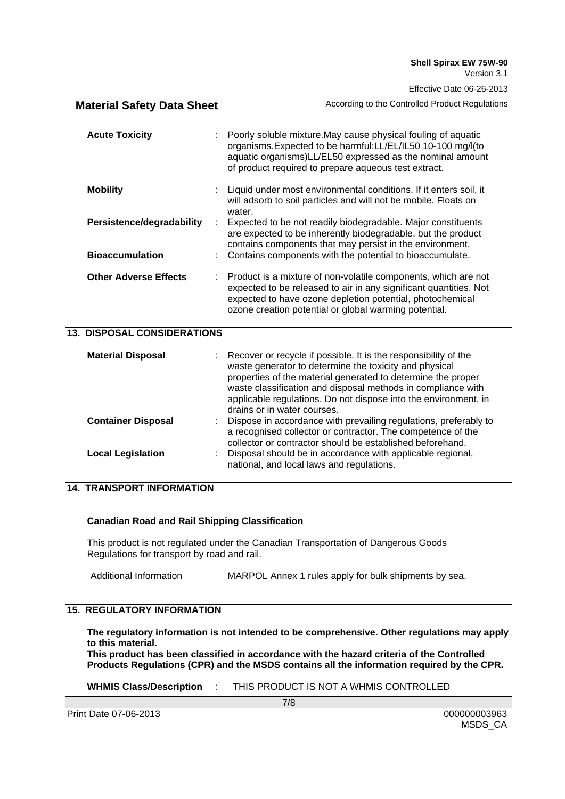|                                    | Lilective Date 00-20-2019                                                                                                                                                                                                                                                                                                                                   |
|------------------------------------|-------------------------------------------------------------------------------------------------------------------------------------------------------------------------------------------------------------------------------------------------------------------------------------------------------------------------------------------------------------|
| <b>Material Safety Data Sheet</b>  | According to the Controlled Product Regulations                                                                                                                                                                                                                                                                                                             |
| <b>Acute Toxicity</b>              | Poorly soluble mixture. May cause physical fouling of aquatic<br>organisms. Expected to be harmful: LL/EL/IL50 10-100 mg/l(to<br>aquatic organisms)LL/EL50 expressed as the nominal amount<br>of product required to prepare aqueous test extract.                                                                                                          |
| <b>Mobility</b>                    | Liquid under most environmental conditions. If it enters soil, it<br>will adsorb to soil particles and will not be mobile. Floats on<br>water.                                                                                                                                                                                                              |
| Persistence/degradability          | Expected to be not readily biodegradable. Major constituents<br>are expected to be inherently biodegradable, but the product<br>contains components that may persist in the environment.                                                                                                                                                                    |
| <b>Bioaccumulation</b>             | Contains components with the potential to bioaccumulate.                                                                                                                                                                                                                                                                                                    |
| <b>Other Adverse Effects</b>       | Product is a mixture of non-volatile components, which are not<br>expected to be released to air in any significant quantities. Not<br>expected to have ozone depletion potential, photochemical<br>ozone creation potential or global warming potential.                                                                                                   |
| <b>13. DISPOSAL CONSIDERATIONS</b> |                                                                                                                                                                                                                                                                                                                                                             |
| <b>Material Disposal</b>           | Recover or recycle if possible. It is the responsibility of the<br>waste generator to determine the toxicity and physical<br>properties of the material generated to determine the proper<br>waste classification and disposal methods in compliance with<br>applicable regulations. Do not dispose into the environment, in<br>drains or in water courses. |
| <b>Container Disposal</b>          | Dispose in accordance with prevailing regulations, preferably to<br>a recognised collector or contractor. The competence of the<br>collector or contractor should be established beforehand.                                                                                                                                                                |
| <b>Local Legislation</b>           | Disposal should be in accordance with applicable regional,<br>national, and local laws and regulations.                                                                                                                                                                                                                                                     |
| <b>14. TRANSPORT INFORMATION</b>   |                                                                                                                                                                                                                                                                                                                                                             |

## **Canadian Road and Rail Shipping Classification**

This product is not regulated under the Canadian Transportation of Dangerous Goods Regulations for transport by road and rail.

Additional Information MARPOL Annex 1 rules apply for bulk shipments by sea.

# **15. REGULATORY INFORMATION**

**The regulatory information is not intended to be comprehensive. Other regulations may apply to this material.**

**This product has been classified in accordance with the hazard criteria of the Controlled Products Regulations (CPR) and the MSDS contains all the information required by the CPR.** 

**WHMIS Class/Description** : THIS PRODUCT IS NOT A WHMIS CONTROLLED